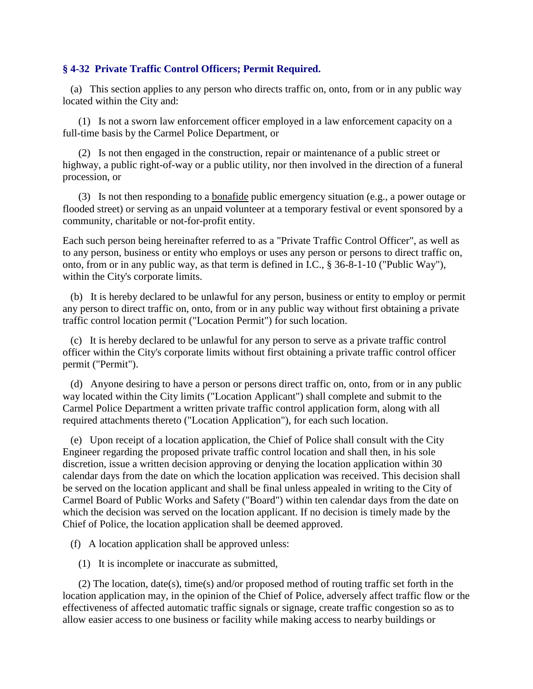## **§ 4-32 Private Traffic Control Officers; Permit Required.**

 (a) This section applies to any person who directs traffic on, onto, from or in any public way located within the City and:

 (1) Is not a sworn law enforcement officer employed in a law enforcement capacity on a full-time basis by the Carmel Police Department, or

 (2) Is not then engaged in the construction, repair or maintenance of a public street or highway, a public right-of-way or a public utility, nor then involved in the direction of a funeral procession, or

 (3) Is not then responding to a bonafide public emergency situation (e.g., a power outage or flooded street) or serving as an unpaid volunteer at a temporary festival or event sponsored by a community, charitable or not-for-profit entity.

Each such person being hereinafter referred to as a "Private Traffic Control Officer", as well as to any person, business or entity who employs or uses any person or persons to direct traffic on, onto, from or in any public way, as that term is defined in I.C., § 36-8-1-10 ("Public Way"), within the City's corporate limits.

 (b) It is hereby declared to be unlawful for any person, business or entity to employ or permit any person to direct traffic on, onto, from or in any public way without first obtaining a private traffic control location permit ("Location Permit") for such location.

 (c) It is hereby declared to be unlawful for any person to serve as a private traffic control officer within the City's corporate limits without first obtaining a private traffic control officer permit ("Permit").

 (d) Anyone desiring to have a person or persons direct traffic on, onto, from or in any public way located within the City limits ("Location Applicant") shall complete and submit to the Carmel Police Department a written private traffic control application form, along with all required attachments thereto ("Location Application"), for each such location.

 (e) Upon receipt of a location application, the Chief of Police shall consult with the City Engineer regarding the proposed private traffic control location and shall then, in his sole discretion, issue a written decision approving or denying the location application within 30 calendar days from the date on which the location application was received. This decision shall be served on the location applicant and shall be final unless appealed in writing to the City of Carmel Board of Public Works and Safety ("Board") within ten calendar days from the date on which the decision was served on the location applicant. If no decision is timely made by the Chief of Police, the location application shall be deemed approved.

(f) A location application shall be approved unless:

(1) It is incomplete or inaccurate as submitted,

 (2) The location, date(s), time(s) and/or proposed method of routing traffic set forth in the location application may, in the opinion of the Chief of Police, adversely affect traffic flow or the effectiveness of affected automatic traffic signals or signage, create traffic congestion so as to allow easier access to one business or facility while making access to nearby buildings or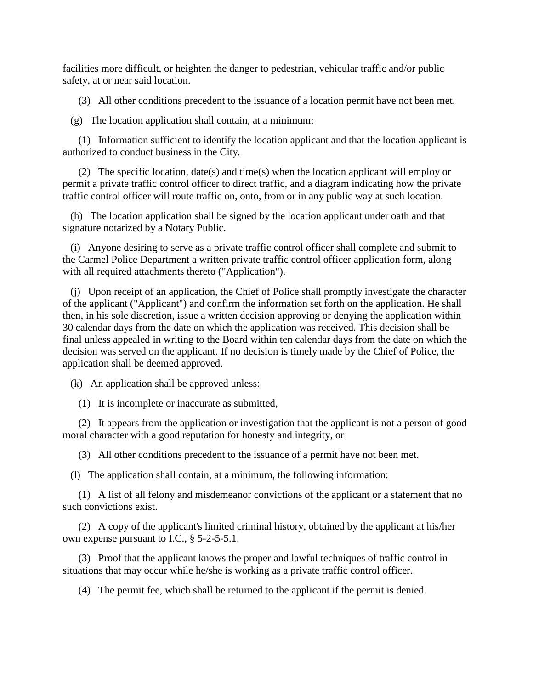facilities more difficult, or heighten the danger to pedestrian, vehicular traffic and/or public safety, at or near said location.

(3) All other conditions precedent to the issuance of a location permit have not been met.

(g) The location application shall contain, at a minimum:

 (1) Information sufficient to identify the location applicant and that the location applicant is authorized to conduct business in the City.

 (2) The specific location, date(s) and time(s) when the location applicant will employ or permit a private traffic control officer to direct traffic, and a diagram indicating how the private traffic control officer will route traffic on, onto, from or in any public way at such location.

 (h) The location application shall be signed by the location applicant under oath and that signature notarized by a Notary Public.

 (i) Anyone desiring to serve as a private traffic control officer shall complete and submit to the Carmel Police Department a written private traffic control officer application form, along with all required attachments thereto ("Application").

 (j) Upon receipt of an application, the Chief of Police shall promptly investigate the character of the applicant ("Applicant") and confirm the information set forth on the application. He shall then, in his sole discretion, issue a written decision approving or denying the application within 30 calendar days from the date on which the application was received. This decision shall be final unless appealed in writing to the Board within ten calendar days from the date on which the decision was served on the applicant. If no decision is timely made by the Chief of Police, the application shall be deemed approved.

(k) An application shall be approved unless:

(1) It is incomplete or inaccurate as submitted,

 (2) It appears from the application or investigation that the applicant is not a person of good moral character with a good reputation for honesty and integrity, or

(3) All other conditions precedent to the issuance of a permit have not been met.

(l) The application shall contain, at a minimum, the following information:

 (1) A list of all felony and misdemeanor convictions of the applicant or a statement that no such convictions exist.

 (2) A copy of the applicant's limited criminal history, obtained by the applicant at his/her own expense pursuant to I.C., § 5-2-5-5.1.

 (3) Proof that the applicant knows the proper and lawful techniques of traffic control in situations that may occur while he/she is working as a private traffic control officer.

(4) The permit fee, which shall be returned to the applicant if the permit is denied.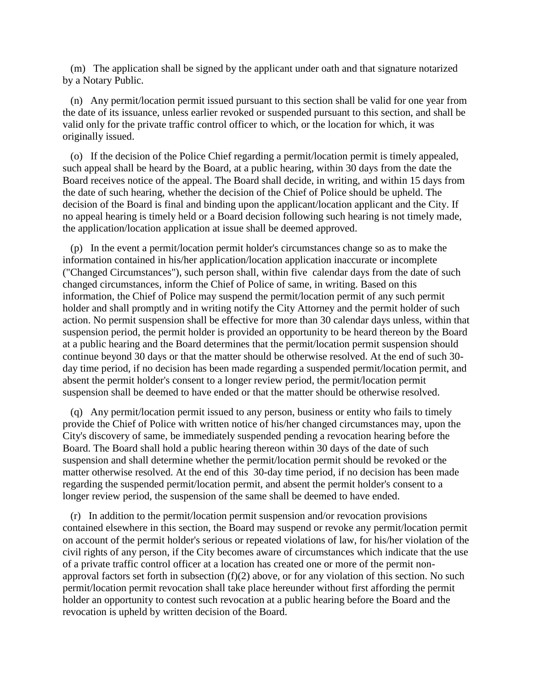(m) The application shall be signed by the applicant under oath and that signature notarized by a Notary Public.

 (n) Any permit/location permit issued pursuant to this section shall be valid for one year from the date of its issuance, unless earlier revoked or suspended pursuant to this section, and shall be valid only for the private traffic control officer to which, or the location for which, it was originally issued.

 (o) If the decision of the Police Chief regarding a permit/location permit is timely appealed, such appeal shall be heard by the Board, at a public hearing, within 30 days from the date the Board receives notice of the appeal. The Board shall decide, in writing, and within 15 days from the date of such hearing, whether the decision of the Chief of Police should be upheld. The decision of the Board is final and binding upon the applicant/location applicant and the City. If no appeal hearing is timely held or a Board decision following such hearing is not timely made, the application/location application at issue shall be deemed approved.

 (p) In the event a permit/location permit holder's circumstances change so as to make the information contained in his/her application/location application inaccurate or incomplete ("Changed Circumstances"), such person shall, within five calendar days from the date of such changed circumstances, inform the Chief of Police of same, in writing. Based on this information, the Chief of Police may suspend the permit/location permit of any such permit holder and shall promptly and in writing notify the City Attorney and the permit holder of such action. No permit suspension shall be effective for more than 30 calendar days unless, within that suspension period, the permit holder is provided an opportunity to be heard thereon by the Board at a public hearing and the Board determines that the permit/location permit suspension should continue beyond 30 days or that the matter should be otherwise resolved. At the end of such 30 day time period, if no decision has been made regarding a suspended permit/location permit, and absent the permit holder's consent to a longer review period, the permit/location permit suspension shall be deemed to have ended or that the matter should be otherwise resolved.

 (q) Any permit/location permit issued to any person, business or entity who fails to timely provide the Chief of Police with written notice of his/her changed circumstances may, upon the City's discovery of same, be immediately suspended pending a revocation hearing before the Board. The Board shall hold a public hearing thereon within 30 days of the date of such suspension and shall determine whether the permit/location permit should be revoked or the matter otherwise resolved. At the end of this 30-day time period, if no decision has been made regarding the suspended permit/location permit, and absent the permit holder's consent to a longer review period, the suspension of the same shall be deemed to have ended.

 (r) In addition to the permit/location permit suspension and/or revocation provisions contained elsewhere in this section, the Board may suspend or revoke any permit/location permit on account of the permit holder's serious or repeated violations of law, for his/her violation of the civil rights of any person, if the City becomes aware of circumstances which indicate that the use of a private traffic control officer at a location has created one or more of the permit nonapproval factors set forth in subsection (f)(2) above, or for any violation of this section. No such permit/location permit revocation shall take place hereunder without first affording the permit holder an opportunity to contest such revocation at a public hearing before the Board and the revocation is upheld by written decision of the Board.